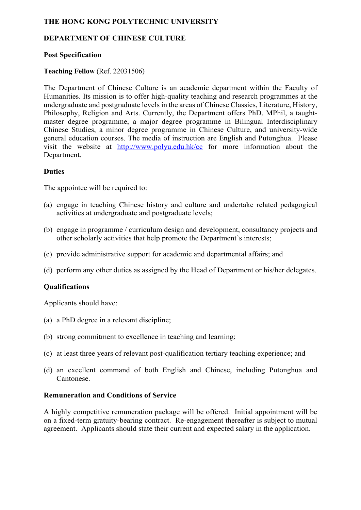# **THE HONG KONG POLYTECHNIC UNIVERSITY**

# **DEPARTMENT OF CHINESE CULTURE**

## **Post Specification**

# **Teaching Fellow** (Ref. 22031506)

The Department of Chinese Culture is an academic department within the Faculty of Humanities. Its mission is to offer high-quality teaching and research programmes at the undergraduate and postgraduate levels in the areas of Chinese Classics, Literature, History, Philosophy, Religion and Arts. Currently, the Department offers PhD, MPhil, a taughtmaster degree programme, a major degree programme in Bilingual Interdisciplinary Chinese Studies, a minor degree programme in Chinese Culture, and university-wide general education courses. The media of instruction are English and Putonghua. Please visit the website at http://www.polyu.edu.hk/cc for more information about the Department.

## **Duties**

The appointee will be required to:

- (a) engage in teaching Chinese history and culture and undertake related pedagogical activities at undergraduate and postgraduate levels;
- (b) engage in programme / curriculum design and development, consultancy projects and other scholarly activities that help promote the Department's interests;
- (c) provide administrative support for academic and departmental affairs; and
- (d) perform any other duties as assigned by the Head of Department or his/her delegates.

#### **Qualifications**

Applicants should have:

- (a) a PhD degree in a relevant discipline;
- (b) strong commitment to excellence in teaching and learning;
- (c) at least three years of relevant post-qualification tertiary teaching experience; and
- (d) an excellent command of both English and Chinese, including Putonghua and Cantonese.

#### **Remuneration and Conditions of Service**

A highly competitive remuneration package will be offered. Initial appointment will be on a fixed-term gratuity-bearing contract. Re-engagement thereafter is subject to mutual agreement. Applicants should state their current and expected salary in the application.